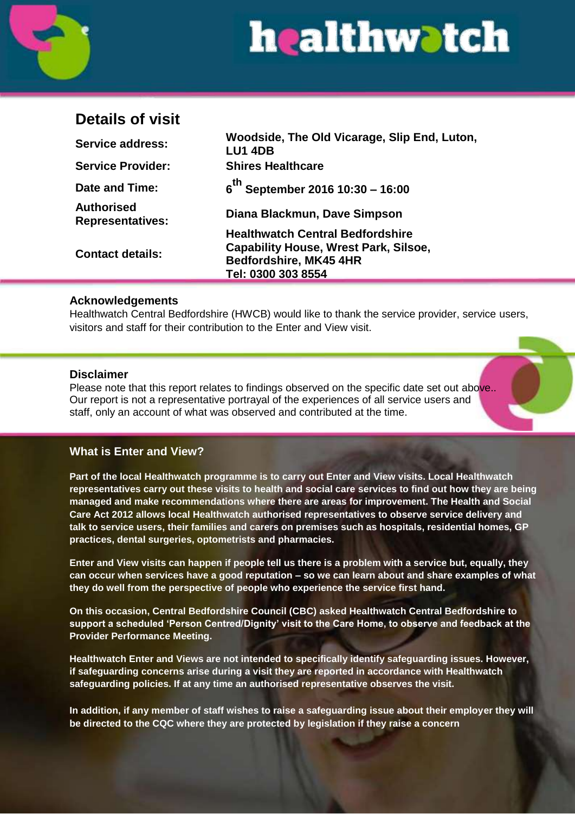

## **Details of visit**

| <b>Service address:</b>               | Woodside, The Old Vicarage, Slip End, Luton,<br><b>LU1 4DB</b> |
|---------------------------------------|----------------------------------------------------------------|
| <b>Service Provider:</b>              | <b>Shires Healthcare</b>                                       |
| Date and Time:                        | $6^{th}$ September 2016 10:30 - 16:00                          |
| Authorised<br><b>Representatives:</b> | Diana Blackmun, Dave Simpson                                   |
| <b>Contact details:</b>               | <b>Healthwatch Central Bedfordshire</b>                        |
|                                       | <b>Capability House, Wrest Park, Silsoe,</b>                   |
|                                       | Bedfordshire, MK45 4HR                                         |
|                                       | Tel: 0300 303 8554                                             |

#### **Acknowledgements**

Healthwatch Central Bedfordshire (HWCB) would like to thank the service provider, service users, visitors and staff for their contribution to the Enter and View visit.

#### **Disclaimer**

Please note that this report relates to findings observed on the specific date set out above.. Our report is not a representative portrayal of the experiences of all service users and staff, only an account of what was observed and contributed at the time.

#### **What is Enter and View?**

**Part of the local Healthwatch programme is to carry out Enter and View visits. Local Healthwatch representatives carry out these visits to health and social care services to find out how they are being managed and make recommendations where there are areas for improvement. The Health and Social Care Act 2012 allows local Healthwatch authorised representatives to observe service delivery and talk to service users, their families and carers on premises such as hospitals, residential homes, GP practices, dental surgeries, optometrists and pharmacies.**

**Enter and View visits can happen if people tell us there is a problem with a service but, equally, they can occur when services have a good reputation – so we can learn about and share examples of what they do well from the perspective of people who experience the service first hand.**

**On this occasion, Central Bedfordshire Council (CBC) asked Healthwatch Central Bedfordshire to support a scheduled 'Person Centred/Dignity' visit to the Care Home, to observe and feedback at the Provider Performance Meeting.**

**Healthwatch Enter and Views are not intended to specifically identify safeguarding issues. However, if safeguarding concerns arise during a visit they are reported in accordance with Healthwatch safeguarding policies. If at any time an authorised representative observes the visit.**

**In addition, if any member of staff wishes to raise a safeguarding issue about their employer they will be directed to the CQC where they are protected by legislation if they raise a concern**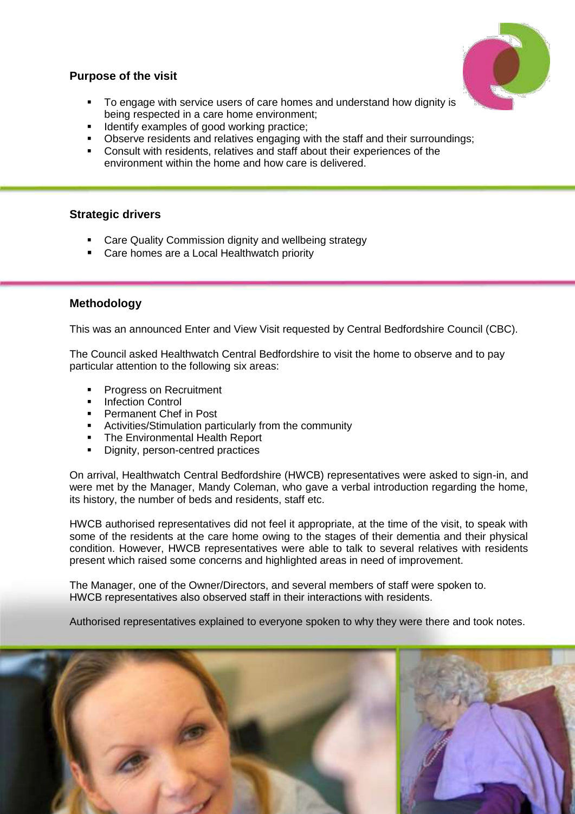### **Purpose of the visit**

- To engage with service users of care homes and understand how dignity is being respected in a care home environment;
- **IDENTIFY EXAMPLES OF GOOD WORKING PRACTICE:**
- **Dbserve residents and relatives engaging with the staff and their surroundings;**
- Consult with residents, relatives and staff about their experiences of the environment within the home and how care is delivered.

#### **Strategic drivers**

- Care Quality Commission dignity and wellbeing strategy
- Care homes are a Local Healthwatch priority

#### **Methodology**

This was an announced Enter and View Visit requested by Central Bedfordshire Council (CBC).

The Council asked Healthwatch Central Bedfordshire to visit the home to observe and to pay particular attention to the following six areas:

- **Progress on Recruitment**
- Infection Control
- **Permanent Chef in Post**
- Activities/Stimulation particularly from the community
- The Environmental Health Report
- Dignity, person-centred practices

On arrival, Healthwatch Central Bedfordshire (HWCB) representatives were asked to sign-in, and were met by the Manager, Mandy Coleman, who gave a verbal introduction regarding the home, its history, the number of beds and residents, staff etc.

HWCB authorised representatives did not feel it appropriate, at the time of the visit, to speak with some of the residents at the care home owing to the stages of their dementia and their physical condition. However, HWCB representatives were able to talk to several relatives with residents present which raised some concerns and highlighted areas in need of improvement.

The Manager, one of the Owner/Directors, and several members of staff were spoken to. HWCB representatives also observed staff in their interactions with residents.

Authorised representatives explained to everyone spoken to why they were there and took notes.

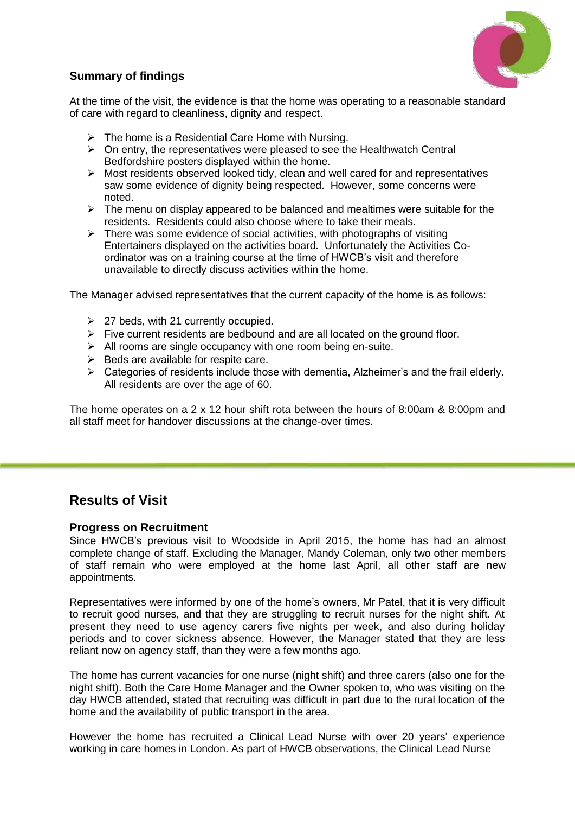

#### **Summary of findings**

At the time of the visit, the evidence is that the home was operating to a reasonable standard of care with regard to cleanliness, dignity and respect.

- $\triangleright$  The home is a Residential Care Home with Nursing.
- $\triangleright$  On entry, the representatives were pleased to see the Healthwatch Central Bedfordshire posters displayed within the home.
- $\triangleright$  Most residents observed looked tidy, clean and well cared for and representatives saw some evidence of dignity being respected. However, some concerns were noted.
- $\triangleright$  The menu on display appeared to be balanced and mealtimes were suitable for the residents. Residents could also choose where to take their meals.
- $\triangleright$  There was some evidence of social activities, with photographs of visiting Entertainers displayed on the activities board. Unfortunately the Activities Coordinator was on a training course at the time of HWCB's visit and therefore unavailable to directly discuss activities within the home.

The Manager advised representatives that the current capacity of the home is as follows:

- $\geq$  27 beds, with 21 currently occupied.
- $\triangleright$  Five current residents are bedbound and are all located on the ground floor.
- $\triangleright$  All rooms are single occupancy with one room being en-suite.
- $\triangleright$  Beds are available for respite care.
- $\triangleright$  Categories of residents include those with dementia, Alzheimer's and the frail elderly. All residents are over the age of 60.

The home operates on a 2 x 12 hour shift rota between the hours of 8:00am & 8:00pm and all staff meet for handover discussions at the change-over times.

### **Results of Visit**

#### **Progress on Recruitment**

Since HWCB's previous visit to Woodside in April 2015, the home has had an almost complete change of staff. Excluding the Manager, Mandy Coleman, only two other members of staff remain who were employed at the home last April, all other staff are new appointments.

Representatives were informed by one of the home's owners, Mr Patel, that it is very difficult to recruit good nurses, and that they are struggling to recruit nurses for the night shift. At present they need to use agency carers five nights per week, and also during holiday periods and to cover sickness absence. However, the Manager stated that they are less reliant now on agency staff, than they were a few months ago.

The home has current vacancies for one nurse (night shift) and three carers (also one for the night shift). Both the Care Home Manager and the Owner spoken to, who was visiting on the day HWCB attended, stated that recruiting was difficult in part due to the rural location of the home and the availability of public transport in the area.

However the home has recruited a Clinical Lead Nurse with over 20 years' experience working in care homes in London. As part of HWCB observations, the Clinical Lead Nurse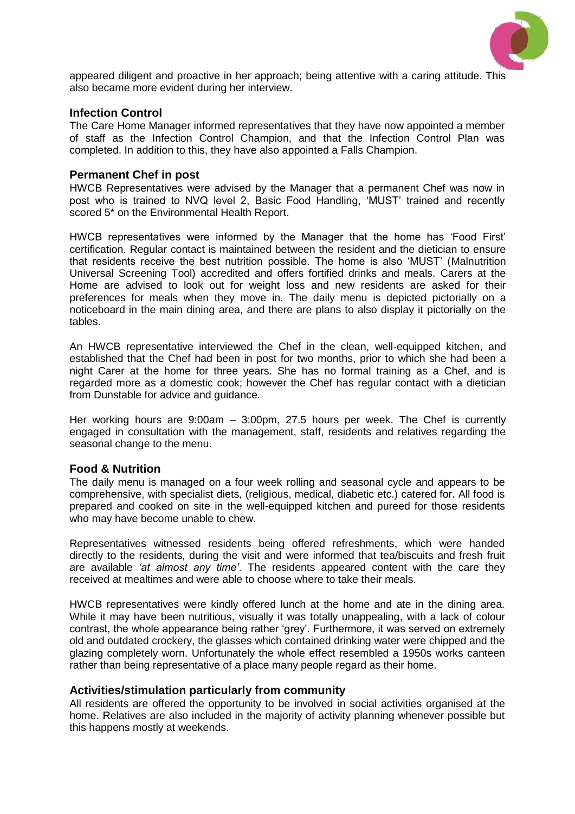

appeared diligent and proactive in her approach; being attentive with a caring attitude. This also became more evident during her interview.

#### **Infection Control**

The Care Home Manager informed representatives that they have now appointed a member of staff as the Infection Control Champion, and that the Infection Control Plan was completed. In addition to this, they have also appointed a Falls Champion.

#### **Permanent Chef in post**

HWCB Representatives were advised by the Manager that a permanent Chef was now in post who is trained to NVQ level 2, Basic Food Handling, 'MUST' trained and recently scored 5\* on the Environmental Health Report.

HWCB representatives were informed by the Manager that the home has 'Food First' certification. Regular contact is maintained between the resident and the dietician to ensure that residents receive the best nutrition possible. The home is also 'MUST' (Malnutrition Universal Screening Tool) accredited and offers fortified drinks and meals. Carers at the Home are advised to look out for weight loss and new residents are asked for their preferences for meals when they move in. The daily menu is depicted pictorially on a noticeboard in the main dining area, and there are plans to also display it pictorially on the tables.

An HWCB representative interviewed the Chef in the clean, well-equipped kitchen, and established that the Chef had been in post for two months, prior to which she had been a night Carer at the home for three years. She has no formal training as a Chef, and is regarded more as a domestic cook; however the Chef has regular contact with a dietician from Dunstable for advice and guidance.

Her working hours are 9:00am – 3:00pm, 27.5 hours per week. The Chef is currently engaged in consultation with the management, staff, residents and relatives regarding the seasonal change to the menu.

#### **Food & Nutrition**

The daily menu is managed on a four week rolling and seasonal cycle and appears to be comprehensive, with specialist diets, (religious, medical, diabetic etc.) catered for. All food is prepared and cooked on site in the well-equipped kitchen and pureed for those residents who may have become unable to chew.

Representatives witnessed residents being offered refreshments, which were handed directly to the residents, during the visit and were informed that tea/biscuits and fresh fruit are available *'at almost any time'*. The residents appeared content with the care they received at mealtimes and were able to choose where to take their meals.

HWCB representatives were kindly offered lunch at the home and ate in the dining area. While it may have been nutritious, visually it was totally unappealing, with a lack of colour contrast, the whole appearance being rather 'grey'. Furthermore, it was served on extremely old and outdated crockery, the glasses which contained drinking water were chipped and the glazing completely worn. Unfortunately the whole effect resembled a 1950s works canteen rather than being representative of a place many people regard as their home.

#### **Activities/stimulation particularly from community**

All residents are offered the opportunity to be involved in social activities organised at the home. Relatives are also included in the majority of activity planning whenever possible but this happens mostly at weekends.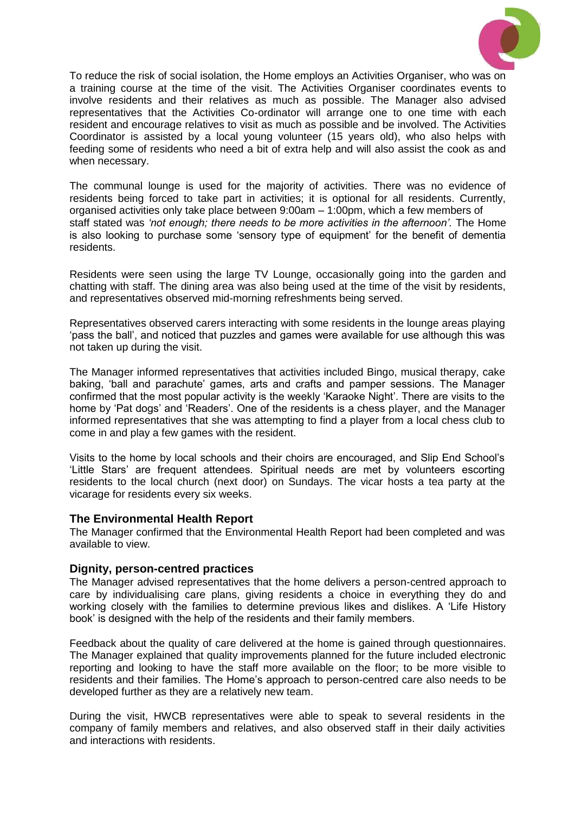

To reduce the risk of social isolation, the Home employs an Activities Organiser, who was on a training course at the time of the visit. The Activities Organiser coordinates events to involve residents and their relatives as much as possible. The Manager also advised representatives that the Activities Co-ordinator will arrange one to one time with each resident and encourage relatives to visit as much as possible and be involved. The Activities Coordinator is assisted by a local young volunteer (15 years old), who also helps with feeding some of residents who need a bit of extra help and will also assist the cook as and when necessary.

The communal lounge is used for the majority of activities. There was no evidence of residents being forced to take part in activities; it is optional for all residents. Currently, organised activities only take place between 9:00am – 1:00pm, which a few members of staff stated was *'not enough; there needs to be more activities in the afternoon'.* The Home is also looking to purchase some 'sensory type of equipment' for the benefit of dementia residents.

Residents were seen using the large TV Lounge, occasionally going into the garden and chatting with staff. The dining area was also being used at the time of the visit by residents, and representatives observed mid-morning refreshments being served.

Representatives observed carers interacting with some residents in the lounge areas playing 'pass the ball', and noticed that puzzles and games were available for use although this was not taken up during the visit.

The Manager informed representatives that activities included Bingo, musical therapy, cake baking, 'ball and parachute' games, arts and crafts and pamper sessions. The Manager confirmed that the most popular activity is the weekly 'Karaoke Night'. There are visits to the home by 'Pat dogs' and 'Readers'. One of the residents is a chess player, and the Manager informed representatives that she was attempting to find a player from a local chess club to come in and play a few games with the resident.

Visits to the home by local schools and their choirs are encouraged, and Slip End School's 'Little Stars' are frequent attendees. Spiritual needs are met by volunteers escorting residents to the local church (next door) on Sundays. The vicar hosts a tea party at the vicarage for residents every six weeks.

#### **The Environmental Health Report**

The Manager confirmed that the Environmental Health Report had been completed and was available to view.

#### **Dignity, person-centred practices**

The Manager advised representatives that the home delivers a person-centred approach to care by individualising care plans, giving residents a choice in everything they do and working closely with the families to determine previous likes and dislikes. A 'Life History book' is designed with the help of the residents and their family members.

Feedback about the quality of care delivered at the home is gained through questionnaires. The Manager explained that quality improvements planned for the future included electronic reporting and looking to have the staff more available on the floor; to be more visible to residents and their families. The Home's approach to person-centred care also needs to be developed further as they are a relatively new team.

During the visit, HWCB representatives were able to speak to several residents in the company of family members and relatives, and also observed staff in their daily activities and interactions with residents.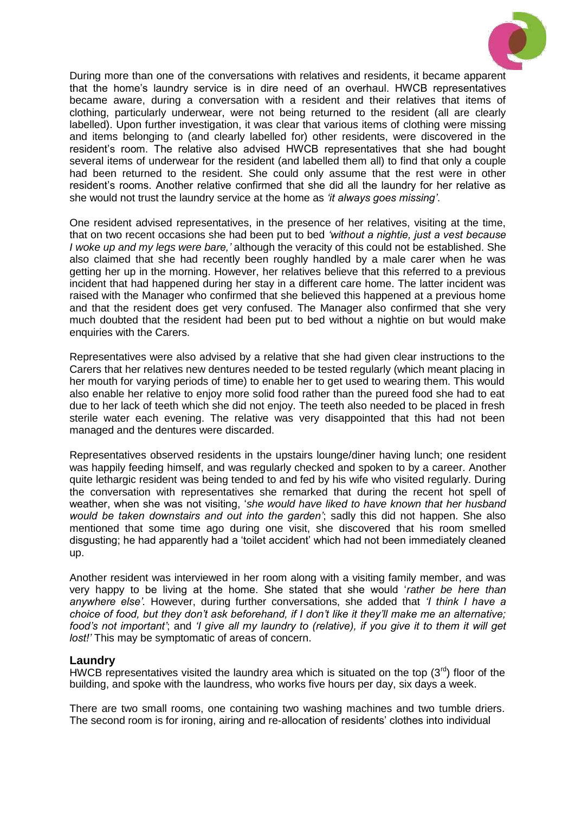

During more than one of the conversations with relatives and residents, it became apparent that the home's laundry service is in dire need of an overhaul. HWCB representatives became aware, during a conversation with a resident and their relatives that items of clothing, particularly underwear, were not being returned to the resident (all are clearly labelled). Upon further investigation, it was clear that various items of clothing were missing and items belonging to (and clearly labelled for) other residents, were discovered in the resident's room. The relative also advised HWCB representatives that she had bought several items of underwear for the resident (and labelled them all) to find that only a couple had been returned to the resident. She could only assume that the rest were in other resident's rooms. Another relative confirmed that she did all the laundry for her relative as she would not trust the laundry service at the home as *'it always goes missing'*.

One resident advised representatives, in the presence of her relatives, visiting at the time, that on two recent occasions she had been put to bed *'without a nightie, just a vest because I woke up and my legs were bare,'* although the veracity of this could not be established. She also claimed that she had recently been roughly handled by a male carer when he was getting her up in the morning. However, her relatives believe that this referred to a previous incident that had happened during her stay in a different care home. The latter incident was raised with the Manager who confirmed that she believed this happened at a previous home and that the resident does get very confused. The Manager also confirmed that she very much doubted that the resident had been put to bed without a nightie on but would make enquiries with the Carers.

Representatives were also advised by a relative that she had given clear instructions to the Carers that her relatives new dentures needed to be tested regularly (which meant placing in her mouth for varying periods of time) to enable her to get used to wearing them. This would also enable her relative to enjoy more solid food rather than the pureed food she had to eat due to her lack of teeth which she did not enjoy. The teeth also needed to be placed in fresh sterile water each evening. The relative was very disappointed that this had not been managed and the dentures were discarded.

Representatives observed residents in the upstairs lounge/diner having lunch; one resident was happily feeding himself, and was regularly checked and spoken to by a career. Another quite lethargic resident was being tended to and fed by his wife who visited regularly. During the conversation with representatives she remarked that during the recent hot spell of weather, when she was not visiting, '*she would have liked to have known that her husband would be taken downstairs and out into the garden'*; sadly this did not happen. She also mentioned that some time ago during one visit, she discovered that his room smelled disgusting; he had apparently had a 'toilet accident' which had not been immediately cleaned up.

Another resident was interviewed in her room along with a visiting family member, and was very happy to be living at the home. She stated that she would '*rather be here than anywhere else'.* However, during further conversations, she added that *'I think I have a choice of food, but they don't ask beforehand, if I don't like it they'll make me an alternative; food's not important'*; and *'I give all my laundry to (relative), if you give it to them it will get lost!'* This may be symptomatic of areas of concern.

#### **Laundry**

HWCB representatives visited the laundry area which is situated on the top  $(3<sup>rd</sup>)$  floor of the building, and spoke with the laundress, who works five hours per day, six days a week.

There are two small rooms, one containing two washing machines and two tumble driers. The second room is for ironing, airing and re-allocation of residents' clothes into individual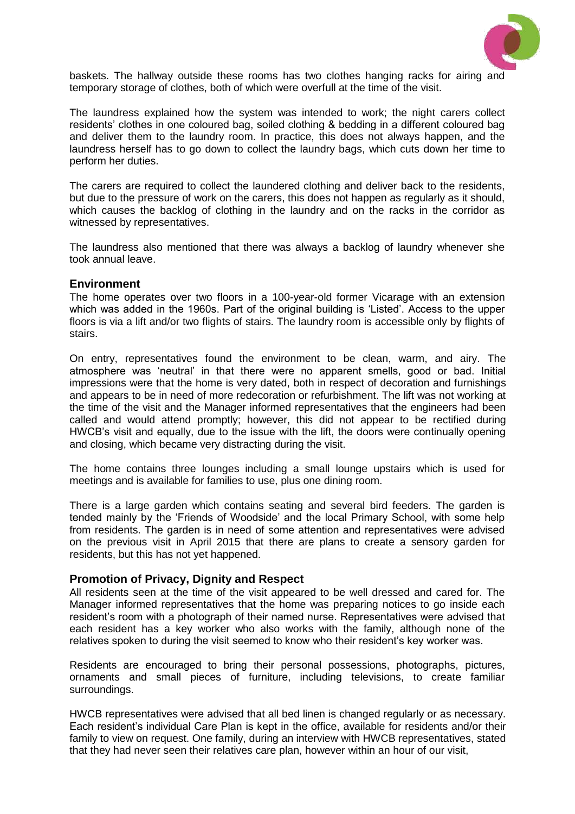

baskets. The hallway outside these rooms has two clothes hanging racks for airing and temporary storage of clothes, both of which were overfull at the time of the visit.

The laundress explained how the system was intended to work; the night carers collect residents' clothes in one coloured bag, soiled clothing & bedding in a different coloured bag and deliver them to the laundry room. In practice, this does not always happen, and the laundress herself has to go down to collect the laundry bags, which cuts down her time to perform her duties.

The carers are required to collect the laundered clothing and deliver back to the residents, but due to the pressure of work on the carers, this does not happen as regularly as it should, which causes the backlog of clothing in the laundry and on the racks in the corridor as witnessed by representatives.

The laundress also mentioned that there was always a backlog of laundry whenever she took annual leave.

#### **Environment**

The home operates over two floors in a 100-year-old former Vicarage with an extension which was added in the 1960s. Part of the original building is 'Listed'. Access to the upper floors is via a lift and/or two flights of stairs. The laundry room is accessible only by flights of stairs.

On entry, representatives found the environment to be clean, warm, and airy. The atmosphere was 'neutral' in that there were no apparent smells, good or bad. Initial impressions were that the home is very dated, both in respect of decoration and furnishings and appears to be in need of more redecoration or refurbishment. The lift was not working at the time of the visit and the Manager informed representatives that the engineers had been called and would attend promptly; however, this did not appear to be rectified during HWCB's visit and equally, due to the issue with the lift, the doors were continually opening and closing, which became very distracting during the visit.

The home contains three lounges including a small lounge upstairs which is used for meetings and is available for families to use, plus one dining room.

There is a large garden which contains seating and several bird feeders. The garden is tended mainly by the 'Friends of Woodside' and the local Primary School, with some help from residents. The garden is in need of some attention and representatives were advised on the previous visit in April 2015 that there are plans to create a sensory garden for residents, but this has not yet happened.

#### **Promotion of Privacy, Dignity and Respect**

All residents seen at the time of the visit appeared to be well dressed and cared for. The Manager informed representatives that the home was preparing notices to go inside each resident's room with a photograph of their named nurse. Representatives were advised that each resident has a key worker who also works with the family, although none of the relatives spoken to during the visit seemed to know who their resident's key worker was.

Residents are encouraged to bring their personal possessions, photographs, pictures, ornaments and small pieces of furniture, including televisions, to create familiar surroundings.

HWCB representatives were advised that all bed linen is changed regularly or as necessary. Each resident's individual Care Plan is kept in the office, available for residents and/or their family to view on request. One family, during an interview with HWCB representatives, stated that they had never seen their relatives care plan, however within an hour of our visit,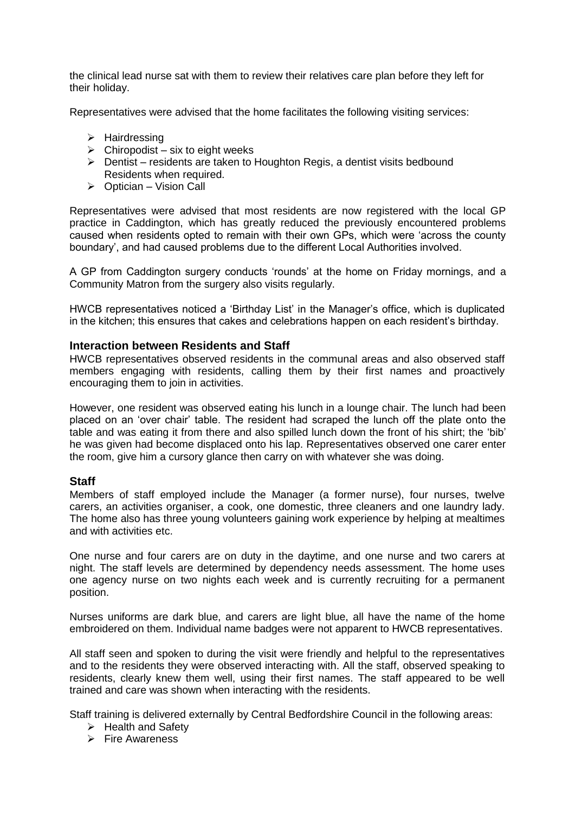the clinical lead nurse sat with them to review their relatives care plan before they left for their holiday.

Representatives were advised that the home facilitates the following visiting services:

- $\triangleright$  Hairdressing
- $\triangleright$  Chiropodist six to eight weeks
- $\triangleright$  Dentist residents are taken to Houghton Regis, a dentist visits bedbound Residents when required.
- $\triangleright$  Optician Vision Call

Representatives were advised that most residents are now registered with the local GP practice in Caddington, which has greatly reduced the previously encountered problems caused when residents opted to remain with their own GPs, which were 'across the county boundary', and had caused problems due to the different Local Authorities involved.

A GP from Caddington surgery conducts 'rounds' at the home on Friday mornings, and a Community Matron from the surgery also visits regularly.

HWCB representatives noticed a 'Birthday List' in the Manager's office, which is duplicated in the kitchen; this ensures that cakes and celebrations happen on each resident's birthday.

#### **Interaction between Residents and Staff**

HWCB representatives observed residents in the communal areas and also observed staff members engaging with residents, calling them by their first names and proactively encouraging them to join in activities.

However, one resident was observed eating his lunch in a lounge chair. The lunch had been placed on an 'over chair' table. The resident had scraped the lunch off the plate onto the table and was eating it from there and also spilled lunch down the front of his shirt; the 'bib' he was given had become displaced onto his lap. Representatives observed one carer enter the room, give him a cursory glance then carry on with whatever she was doing.

#### **Staff**

Members of staff employed include the Manager (a former nurse), four nurses, twelve carers, an activities organiser, a cook, one domestic, three cleaners and one laundry lady. The home also has three young volunteers gaining work experience by helping at mealtimes and with activities etc.

One nurse and four carers are on duty in the daytime, and one nurse and two carers at night. The staff levels are determined by dependency needs assessment. The home uses one agency nurse on two nights each week and is currently recruiting for a permanent position.

Nurses uniforms are dark blue, and carers are light blue, all have the name of the home embroidered on them. Individual name badges were not apparent to HWCB representatives.

All staff seen and spoken to during the visit were friendly and helpful to the representatives and to the residents they were observed interacting with. All the staff, observed speaking to residents, clearly knew them well, using their first names. The staff appeared to be well trained and care was shown when interacting with the residents.

Staff training is delivered externally by Central Bedfordshire Council in the following areas:

- $\triangleright$  Health and Safety
- $\triangleright$  Fire Awareness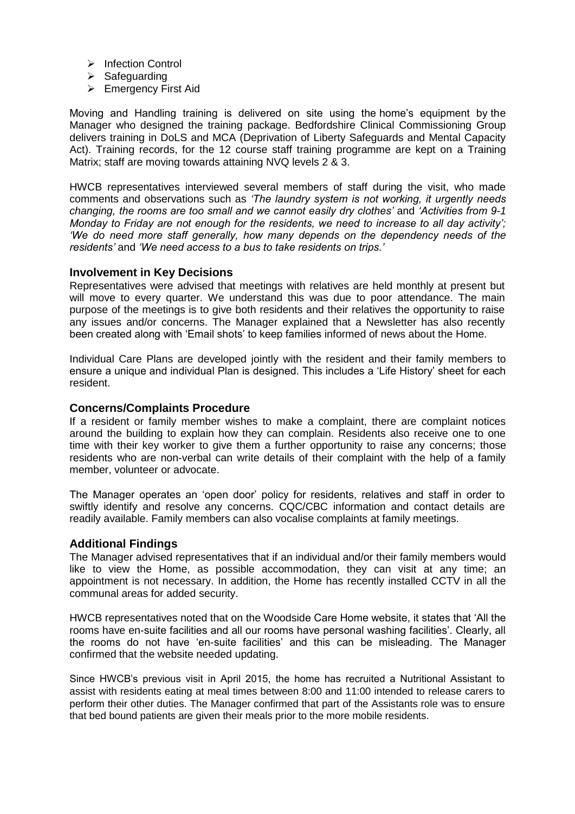- $\triangleright$  Infection Control
- $\triangleright$  Safeguarding
- ▶ Emergency First Aid

Moving and Handling training is delivered on site using the home's equipment by the Manager who designed the training package. Bedfordshire Clinical Commissioning Group delivers training in DoLS and MCA (Deprivation of Liberty Safeguards and Mental Capacity Act). Training records, for the 12 course staff training programme are kept on a Training Matrix; staff are moving towards attaining NVQ levels 2 & 3.

HWCB representatives interviewed several members of staff during the visit, who made comments and observations such as *'The laundry system is not working, it urgently needs changing, the rooms are too small and we cannot easily dry clothes'* and *'Activities from 9-1 Monday to Friday are not enough for the residents, we need to increase to all day activity'; 'We do need more staff generally, how many depends on the dependency needs of the residents'* and *'We need access to a bus to take residents on trips.'*

#### **Involvement in Key Decisions**

Representatives were advised that meetings with relatives are held monthly at present but will move to every quarter. We understand this was due to poor attendance. The main purpose of the meetings is to give both residents and their relatives the opportunity to raise any issues and/or concerns. The Manager explained that a Newsletter has also recently been created along with 'Email shots' to keep families informed of news about the Home.

Individual Care Plans are developed jointly with the resident and their family members to ensure a unique and individual Plan is designed. This includes a 'Life History' sheet for each resident.

#### **Concerns/Complaints Procedure**

If a resident or family member wishes to make a complaint, there are complaint notices around the building to explain how they can complain. Residents also receive one to one time with their key worker to give them a further opportunity to raise any concerns; those residents who are non-verbal can write details of their complaint with the help of a family member, volunteer or advocate.

The Manager operates an 'open door' policy for residents, relatives and staff in order to swiftly identify and resolve any concerns. CQC/CBC information and contact details are readily available. Family members can also vocalise complaints at family meetings.

#### **Additional Findings**

The Manager advised representatives that if an individual and/or their family members would like to view the Home, as possible accommodation, they can visit at any time; an appointment is not necessary. In addition, the Home has recently installed CCTV in all the communal areas for added security.

HWCB representatives noted that on the Woodside Care Home website, it states that 'All the rooms have en-suite facilities and all our rooms have personal washing facilities'. Clearly, all the rooms do not have 'en-suite facilities' and this can be misleading. The Manager confirmed that the website needed updating.

Since HWCB's previous visit in April 2015, the home has recruited a Nutritional Assistant to assist with residents eating at meal times between 8:00 and 11:00 intended to release carers to perform their other duties. The Manager confirmed that part of the Assistants role was to ensure that bed bound patients are given their meals prior to the more mobile residents.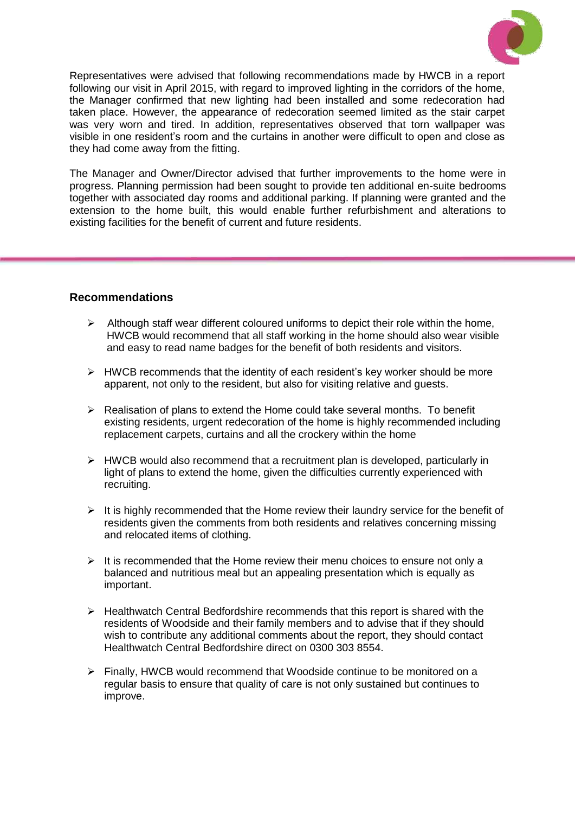

Representatives were advised that following recommendations made by HWCB in a report following our visit in April 2015, with regard to improved lighting in the corridors of the home, the Manager confirmed that new lighting had been installed and some redecoration had taken place. However, the appearance of redecoration seemed limited as the stair carpet was very worn and tired. In addition, representatives observed that torn wallpaper was visible in one resident's room and the curtains in another were difficult to open and close as they had come away from the fitting.

The Manager and Owner/Director advised that further improvements to the home were in progress. Planning permission had been sought to provide ten additional en-suite bedrooms together with associated day rooms and additional parking. If planning were granted and the extension to the home built, this would enable further refurbishment and alterations to existing facilities for the benefit of current and future residents.

#### **Recommendations**

- $\triangleright$  Although staff wear different coloured uniforms to depict their role within the home, HWCB would recommend that all staff working in the home should also wear visible and easy to read name badges for the benefit of both residents and visitors.
- $\triangleright$  HWCB recommends that the identity of each resident's key worker should be more apparent, not only to the resident, but also for visiting relative and guests.
- $\triangleright$  Realisation of plans to extend the Home could take several months. To benefit existing residents, urgent redecoration of the home is highly recommended including replacement carpets, curtains and all the crockery within the home
- $\triangleright$  HWCB would also recommend that a recruitment plan is developed, particularly in light of plans to extend the home, given the difficulties currently experienced with recruiting.
- $\triangleright$  It is highly recommended that the Home review their laundry service for the benefit of residents given the comments from both residents and relatives concerning missing and relocated items of clothing.
- $\triangleright$  It is recommended that the Home review their menu choices to ensure not only a balanced and nutritious meal but an appealing presentation which is equally as important.
- $\triangleright$  Healthwatch Central Bedfordshire recommends that this report is shared with the residents of Woodside and their family members and to advise that if they should wish to contribute any additional comments about the report, they should contact Healthwatch Central Bedfordshire direct on 0300 303 8554.
- $\triangleright$  Finally, HWCB would recommend that Woodside continue to be monitored on a regular basis to ensure that quality of care is not only sustained but continues to improve.